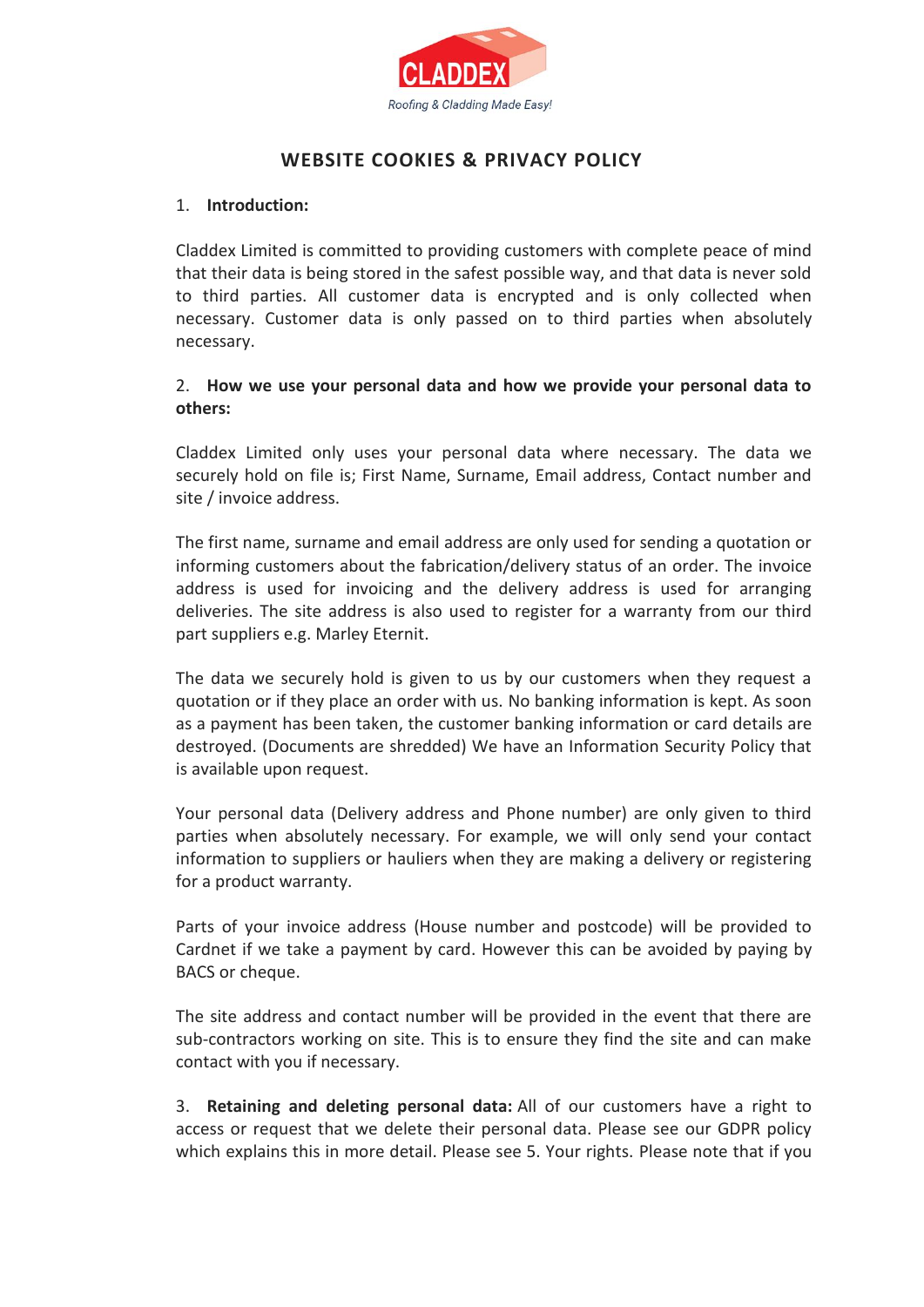

# **WEBSITE COOKIES & PRIVACY POLICY**

### 1. **Introduction:**

Claddex Limited is committed to providing customers with complete peace of mind that their data is being stored in the safest possible way, and that data is never sold to third parties. All customer data is encrypted and is only collected when necessary. Customer data is only passed on to third parties when absolutely necessary.

## 2. **How we use your personal data and how we provide your personal data to others:**

Claddex Limited only uses your personal data where necessary. The data we securely hold on file is; First Name, Surname, Email address, Contact number and site / invoice address.

The first name, surname and email address are only used for sending a quotation or informing customers about the fabrication/delivery status of an order. The invoice address is used for invoicing and the delivery address is used for arranging deliveries. The site address is also used to register for a warranty from our third part suppliers e.g. Marley Eternit.

The data we securely hold is given to us by our customers when they request a quotation or if they place an order with us. No banking information is kept. As soon as a payment has been taken, the customer banking information or card details are destroyed. (Documents are shredded) We have an Information Security Policy that is available upon request.

Your personal data (Delivery address and Phone number) are only given to third parties when absolutely necessary. For example, we will only send your contact information to suppliers or hauliers when they are making a delivery or registering for a product warranty.

Parts of your invoice address (House number and postcode) will be provided to Cardnet if we take a payment by card. However this can be avoided by paying by BACS or cheque.

The site address and contact number will be provided in the event that there are sub-contractors working on site. This is to ensure they find the site and can make contact with you if necessary.

3. **Retaining and deleting personal data:** All of our customers have a right to access or request that we delete their personal data. Please see our GDPR policy which explains this in more detail. Please see 5. Your rights. Please note that if you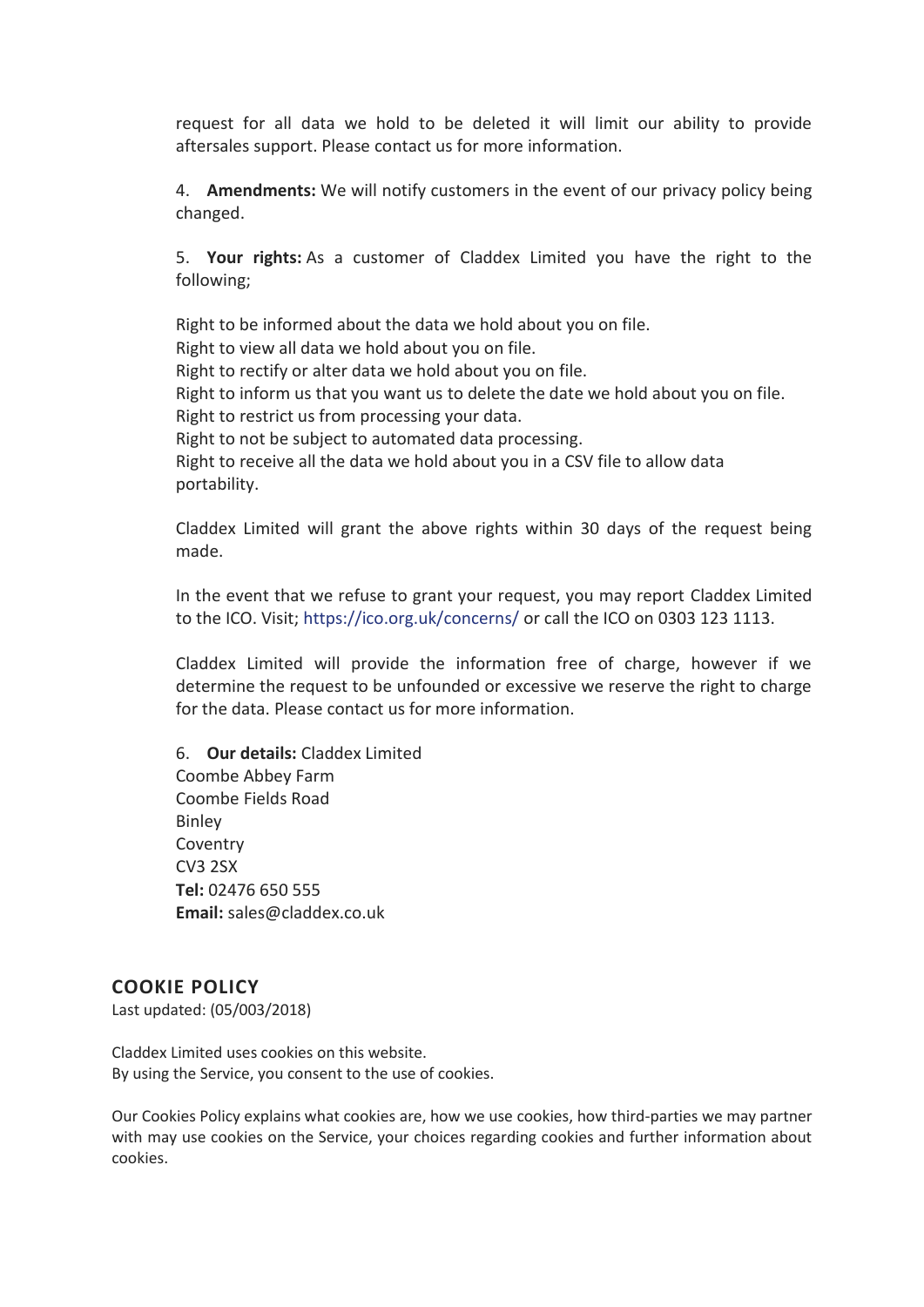request for all data we hold to be deleted it will limit our ability to provide aftersales support. Please contact us for more information.

4. **Amendments:** We will notify customers in the event of our privacy policy being changed.

5. **Your rights:** As a customer of Claddex Limited you have the right to the following;

Right to be informed about the data we hold about you on file. Right to view all data we hold about you on file. Right to rectify or alter data we hold about you on file. Right to inform us that you want us to delete the date we hold about you on file. Right to restrict us from processing your data. Right to not be subject to automated data processing. Right to receive all the data we hold about you in a CSV file to allow data portability.

Claddex Limited will grant the above rights within 30 days of the request being made.

In the event that we refuse to grant your request, you may report Claddex Limited to the ICO. Visit; <https://ico.org.uk/concerns/> or call the ICO on 0303 123 1113.

Claddex Limited will provide the information free of charge, however if we determine the request to be unfounded or excessive we reserve the right to charge for the data. Please contact us for more information.

6. **Our details:** Claddex Limited Coombe Abbey Farm Coombe Fields Road Binley Coventry CV3 2SX **Tel:** 02476 650 555 **Email:** sales@claddex.co.uk

## **COOKIE POLICY**

Last updated: (05/003/2018)

Claddex Limited uses cookies on this website. By using the Service, you consent to the use of cookies.

Our Cookies Policy explains what cookies are, how we use cookies, how third-parties we may partner with may use cookies on the Service, your choices regarding cookies and further information about cookies.